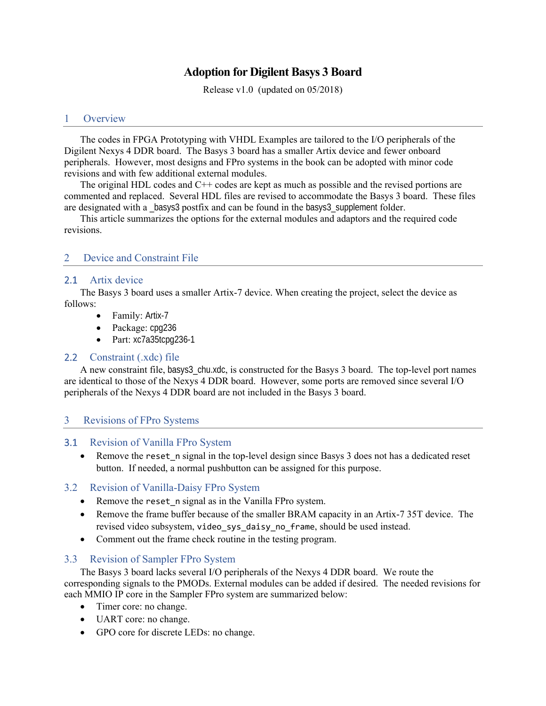# **Adoption for Digilent Basys 3 Board**

Release v1.0 (updated on 05/2018)

### 1 Overview

The codes in FPGA Prototyping with VHDL Examples are tailored to the I/O peripherals of the Digilent Nexys 4 DDR board. The Basys 3 board has a smaller Artix device and fewer onboard peripherals. However, most designs and FPro systems in the book can be adopted with minor code revisions and with few additional external modules.

The original HDL codes and C<sup>++</sup> codes are kept as much as possible and the revised portions are commented and replaced. Several HDL files are revised to accommodate the Basys 3 board. These files are designated with a \_basys3 postfix and can be found in the basys3\_supplement folder.

This article summarizes the options for the external modules and adaptors and the required code revisions.

## 2 Device and Constraint File

#### 2.1 Artix device

The Basys 3 board uses a smaller Artix-7 device. When creating the project, select the device as follows:

- Family: Artix-7
- Package: cpg236
- Part: xc7a35tcpg236-1

## 2.2 Constraint (.xdc) file

A new constraint file, basys3\_chu.xdc, is constructed for the Basys 3 board. The top-level port names are identical to those of the Nexys 4 DDR board. However, some ports are removed since several I/O peripherals of the Nexys 4 DDR board are not included in the Basys 3 board.

#### 3 Revisions of FPro Systems

#### 3.1 Revision of Vanilla FPro System

• Remove the reset n signal in the top-level design since Basys 3 does not has a dedicated reset button. If needed, a normal pushbutton can be assigned for this purpose.

#### 3.2 Revision of Vanilla-Daisy FPro System

- Remove the reset\_n signal as in the Vanilla FPro system.
- Remove the frame buffer because of the smaller BRAM capacity in an Artix-7 35T device. The revised video subsystem, video\_sys\_daisy\_no\_frame, should be used instead.
- Comment out the frame check routine in the testing program.

### 3.3 Revision of Sampler FPro System

The Basys 3 board lacks several I/O peripherals of the Nexys 4 DDR board. We route the corresponding signals to the PMODs. External modules can be added if desired. The needed revisions for each MMIO IP core in the Sampler FPro system are summarized below:

- Timer core: no change.
- UART core: no change.
- GPO core for discrete LEDs: no change.